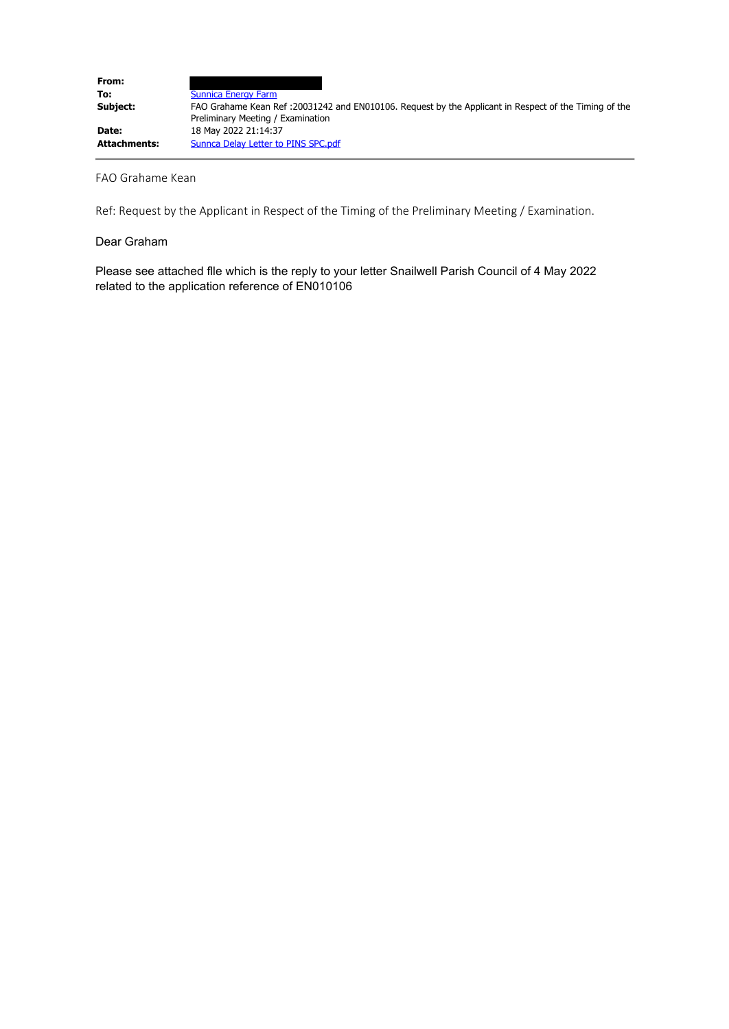| From:        |                                                                                                                                            |
|--------------|--------------------------------------------------------------------------------------------------------------------------------------------|
| To:          | <b>Sunnica Energy Farm</b>                                                                                                                 |
| Subject:     | FAO Grahame Kean Ref: 20031242 and EN010106. Request by the Applicant in Respect of the Timing of the<br>Preliminary Meeting / Examination |
| Date:        | 18 May 2022 21:14:37                                                                                                                       |
| Attachments: | Sunnca Delay Letter to PINS SPC.pdf                                                                                                        |

#### FAO Grahame Kean

Ref: Request by the Applicant in Respect of the Timing of the Preliminary Meeting / Examination.

#### Dear Graham

Please see attached flle which is the reply to your letter Snailwell Parish Council of 4 May 2022 related to the application reference of EN010106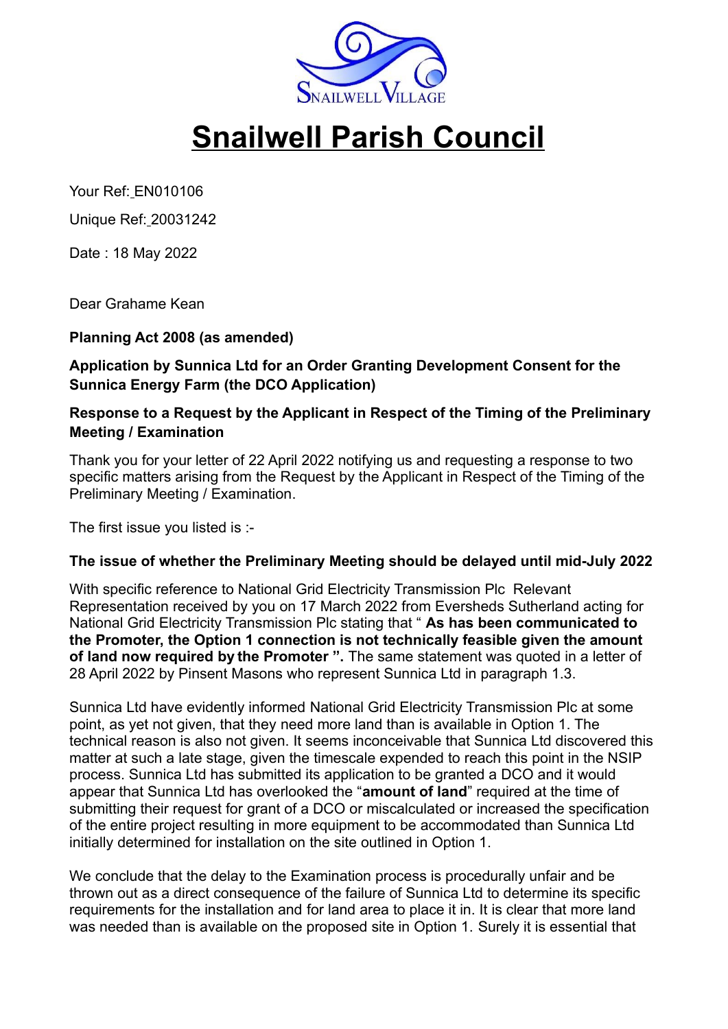

# **Snailwell Parish Council**

Your Ref: EN010106

Unique Ref: 20031242

Date : 18 May 2022

Dear Grahame Kean

## **Planning Act 2008 (as amended)**

**Application by Sunnica Ltd for an Order Granting Development Consent for the Sunnica Energy Farm (the DCO Application)** 

# **Response to a Request by the Applicant in Respect of the Timing of the Preliminary Meeting / Examination**

Thank you for your letter of 22 April 2022 notifying us and requesting a response to two specific matters arising from the Request by the Applicant in Respect of the Timing of the Preliminary Meeting / Examination.

The first issue you listed is :-

## **The issue of whether the Preliminary Meeting should be delayed until mid-July 2022**

With specific reference to National Grid Electricity Transmission Plc Relevant Representation received by you on 17 March 2022 from Eversheds Sutherland acting for National Grid Electricity Transmission Plc stating that " **As has been communicated to the Promoter, the Option 1 connection is not technically feasible given the amount of land now required by the Promoter ".** The same statement was quoted in a letter of 28 April 2022 by Pinsent Masons who represent Sunnica Ltd in paragraph 1.3.

Sunnica Ltd have evidently informed National Grid Electricity Transmission Plc at some point, as yet not given, that they need more land than is available in Option 1. The technical reason is also not given. It seems inconceivable that Sunnica Ltd discovered this matter at such a late stage, given the timescale expended to reach this point in the NSIP process. Sunnica Ltd has submitted its application to be granted a DCO and it would appear that Sunnica Ltd has overlooked the "**amount of land**" required at the time of submitting their request for grant of a DCO or miscalculated or increased the specification of the entire project resulting in more equipment to be accommodated than Sunnica Ltd initially determined for installation on the site outlined in Option 1.

We conclude that the delay to the Examination process is procedurally unfair and be thrown out as a direct consequence of the failure of Sunnica Ltd to determine its specific requirements for the installation and for land area to place it in. It is clear that more land was needed than is available on the proposed site in Option 1. Surely it is essential that